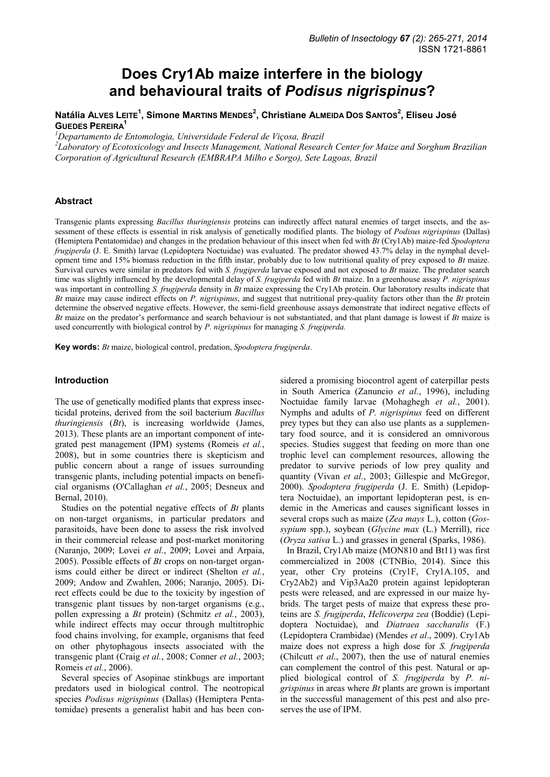# **Does Cry1Ab maize interfere in the biology and behavioural traits of** *Podisus nigrispinus***?**

# **Natália ALVES LEITE<sup>1</sup> , Simone MARTINS MENDES<sup>2</sup> , Christiane ALMEIDA DOS SANTOS<sup>2</sup> , Eliseu José GUEDES PEREIRA<sup>1</sup>**

*<sup>1</sup>Departamento de Entomologia, Universidade Federal de Viçosa, Brazil* 

*2 Laboratory of Ecotoxicology and Insects Management, National Research Center for Maize and Sorghum Brazilian Corporation of Agricultural Research (EMBRAPA Milho e Sorgo), Sete Lagoas, Brazil* 

### **Abstract**

Transgenic plants expressing *Bacillus thuringiensis* proteins can indirectly affect natural enemies of target insects, and the assessment of these effects is essential in risk analysis of genetically modified plants. The biology of *Podisus nigrispinus* (Dallas) (Hemiptera Pentatomidae) and changes in the predation behaviour of this insect when fed with *Bt* (Cry1Ab) maize-fed *Spodoptera frugiperda* (J. E. Smith) larvae (Lepidoptera Noctuidae) was evaluated. The predator showed 43.7% delay in the nymphal development time and 15% biomass reduction in the fifth instar, probably due to low nutritional quality of prey exposed to *Bt* maize. Survival curves were similar in predators fed with *S. frugiperda* larvae exposed and not exposed to *Bt* maize. The predator search time was slightly influenced by the developmental delay of *S. frugiperda* fed with *Bt* maize. In a greenhouse assay *P. nigrispinus* was important in controlling *S. frugiperda* density in *Bt* maize expressing the Cry1Ab protein. Our laboratory results indicate that *Bt* maize may cause indirect effects on *P. nigrispinus*, and suggest that nutritional prey-quality factors other than the *Bt* protein determine the observed negative effects. However, the semi-field greenhouse assays demonstrate that indirect negative effects of *Bt* maize on the predator's performance and search behaviour is not substantiated, and that plant damage is lowest if *Bt* maize is used concurrently with biological control by *P. nigrispinus* for managing *S. frugiperda.*

**Key words:** *Bt* maize, biological control, predation, *Spodoptera frugiperda*.

# **Introduction**

The use of genetically modified plants that express insecticidal proteins, derived from the soil bacterium *Bacillus thuringiensis* (*Bt*), is increasing worldwide (James, 2013). These plants are an important component of integrated pest management (IPM) systems (Romeis *et al.*, 2008), but in some countries there is skepticism and public concern about a range of issues surrounding transgenic plants, including potential impacts on beneficial organisms (O'Callaghan *et al.*, 2005; Desneux and Bernal, 2010).

Studies on the potential negative effects of *Bt* plants on non-target organisms, in particular predators and parasitoids, have been done to assess the risk involved in their commercial release and post-market monitoring (Naranjo, 2009; Lovei *et al.*, 2009; Lovei and Arpaia, 2005). Possible effects of *Bt* crops on non-target organisms could either be direct or indirect (Shelton *et al.*, 2009; Andow and Zwahlen, 2006; Naranjo, 2005). Direct effects could be due to the toxicity by ingestion of transgenic plant tissues by non-target organisms (e.g., pollen expressing a *Bt* protein) (Schmitz *et al.*, 2003), while indirect effects may occur through multitrophic food chains involving, for example, organisms that feed on other phytophagous insects associated with the transgenic plant (Craig *et al.*, 2008; Conner *et al.*, 2003; Romeis *et al.*, 2006).

Several species of Asopinae stinkbugs are important predators used in biological control. The neotropical species *Podisus nigrispinus* (Dallas) (Hemiptera Pentatomidae) presents a generalist habit and has been con-

sidered a promising biocontrol agent of caterpillar pests in South America (Zanuncio *et al.*, 1996), including Noctuidae family larvae (Mohaghegh *et al.*, 2001). Nymphs and adults of *P. nigrispinus* feed on different prey types but they can also use plants as a supplementary food source, and it is considered an omnivorous species. Studies suggest that feeding on more than one trophic level can complement resources, allowing the predator to survive periods of low prey quality and quantity (Vivan *et al.*, 2003; Gillespie and McGregor, 2000). *Spodoptera frugiperda* (J. E. Smith) (Lepidoptera Noctuidae), an important lepidopteran pest, is endemic in the Americas and causes significant losses in several crops such as maize (*Zea mays* L.), cotton (*Gossypium* spp.), soybean (*Glycine max* (L.) Merrill), rice (*Oryza sativa* L.) and grasses in general (Sparks, 1986).

In Brazil, Cry1Ab maize (MON810 and Bt11) was first commercialized in 2008 (CTNBio, 2014). Since this year, other Cry proteins (Cry1F, Cry1A.105, and Cry2Ab2) and Vip3Aa20 protein against lepidopteran pests were released, and are expressed in our maize hybrids. The target pests of maize that express these proteins are *S. frugiperda*, *Helicoverpa zea* (Boddie) (Lepidoptera Noctuidae), and *Diatraea saccharalis* (F.) (Lepidoptera Crambidae) (Mendes *et al*., 2009). Cry1Ab maize does not express a high dose for *S. frugiperda* (Chilcutt *et al*., 2007), then the use of natural enemies can complement the control of this pest. Natural or applied biological control of *S. frugiperda* by *P. nigrispinus* in areas where *Bt* plants are grown is important in the successful management of this pest and also preserves the use of IPM.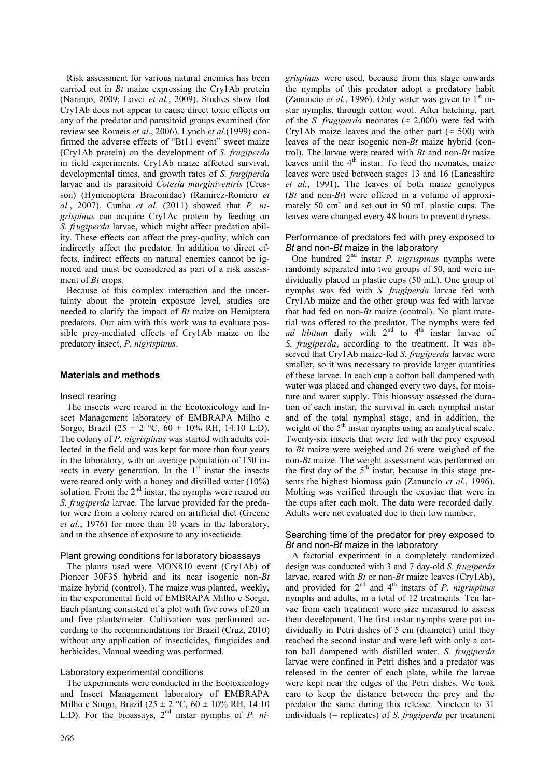Risk assessment for various natural enemies has been carried out in *Bt* maize expressing the Cry1Ab protein (Naranjo, 2009; Lovei *et al.*, 2009). Studies show that Cry1Ab does not appear to cause direct toxic effects on any of the predator and parasitoid groups examined (for review see Romeis *et al*., 2006). Lynch *et al*.(1999) confirmed the adverse effects of "Bt11 event" sweet maize (Cry1Ab protein) on the development of *S. frugiperda*  in field experiments. Cry1Ab maize affected survival, developmental times, and growth rates of *S. frugiperda* larvae and its parasitoid *Cotesia marginiventris* (Cresson) (Hymenoptera Braconidae) (Ramirez-Romero *et al.*, 2007). Cunha *et al*. (2011) showed that *P. nigrispinus* can acquire Cry1Ac protein by feeding on *S. frugiperda* larvae, which might affect predation ability. These effects can affect the prey-quality, which can indirectly affect the predator. In addition to direct effects, indirect effects on natural enemies cannot be ignored and must be considered as part of a risk assessment of *Bt* crops*.*

Because of this complex interaction and the uncertainty about the protein exposure level*,* studies are needed to clarify the impact of *Bt* maize on Hemiptera predators. Our aim with this work was to evaluate possible prey-mediated effects of Cry1Ab maize on the predatory insect, *P. nigrispinus*.

# **Materials and methods**

## Insect rearing

The insects were reared in the Ecotoxicology and Insect Management laboratory of EMBRAPA Milho e Sorgo, Brazil (25 ± 2 °C, 60 ± 10% RH, 14:10 L:D). The colony of *P. nigrispinus* was started with adults collected in the field and was kept for more than four years in the laboratory, with an average population of 150 insects in every generation. In the  $1<sup>st</sup>$  instar the insects were reared only with a honey and distilled water (10%) solution. From the  $2<sup>nd</sup>$  instar, the nymphs were reared on *S. frugiperda* larvae. The larvae provided for the predator were from a colony reared on artificial diet (Greene *et al*., 1976) for more than 10 years in the laboratory, and in the absence of exposure to any insecticide.

## Plant growing conditions for laboratory bioassays

The plants used were MON810 event (Cry1Ab) of Pioneer 30F35 hybrid and its near isogenic non-*Bt* maize hybrid (control). The maize was planted, weekly, in the experimental field of EMBRAPA Milho e Sorgo. Each planting consisted of a plot with five rows of 20 m and five plants/meter. Cultivation was performed according to the recommendations for Brazil (Cruz, 2010) without any application of insecticides, fungicides and herbicides. Manual weeding was performed.

## Laboratory experimental conditions

The experiments were conducted in the Ecotoxicology and Insect Management laboratory of EMBRAPA Milho e Sorgo, Brazil (25 ± 2 °C, 60 ± 10% RH, 14:10 L:D). For the bioassays, 2nd instar nymphs of *P. ni-* *grispinus* were used, because from this stage onwards the nymphs of this predator adopt a predatory habit (Zanuncio *et al.*, 1996). Only water was given to  $1<sup>st</sup>$  instar nymphs, through cotton wool. After hatching, part of the *S. frugiperda* neonates ( $\approx$  2,000) were fed with Cry1Ab maize leaves and the other part ( $\approx$  500) with leaves of the near isogenic non-*Bt* maize hybrid (control). The larvae were reared with *Bt* and non-*Bt* maize leaves until the  $4<sup>th</sup>$  instar. To feed the neonates, maize leaves were used between stages 13 and 16 (Lancashire *et al.*, 1991). The leaves of both maize genotypes (*Bt* and non-*Bt*) were offered in a volume of approximately 50 cm<sup>3</sup> and set out in 50 mL plastic cups. The leaves were changed every 48 hours to prevent dryness.

## Performance of predators fed with prey exposed to *Bt* and non-*Bt* maize in the laboratory

One hundred 2nd instar *P. nigrispinus* nymphs were randomly separated into two groups of 50, and were individually placed in plastic cups (50 mL). One group of nymphs was fed with *S. frugiperda* larvae fed with Cry1Ab maize and the other group was fed with larvae that had fed on non-*Bt* maize (control). No plant material was offered to the predator. The nymphs were fed ad libitum daily with 2<sup>nd</sup> to 4<sup>th</sup> instar larvae of *S. frugiperda*, according to the treatment. It was observed that Cry1Ab maize-fed *S. frugiperda* larvae were smaller, so it was necessary to provide larger quantities of these larvae. In each cup a cotton ball dampened with water was placed and changed every two days, for moisture and water supply. This bioassay assessed the duration of each instar, the survival in each nymphal instar and of the total nymphal stage, and in addition, the weight of the 5<sup>th</sup> instar nymphs using an analytical scale. Twenty-six insects that were fed with the prey exposed to *Bt* maize were weighed and 26 were weighed of the non-*Bt* maize. The weight assessment was performed on the first day of the  $5<sup>th</sup>$  instar, because in this stage presents the highest biomass gain (Zanuncio *et al.*, 1996). Molting was verified through the exuviae that were in the cups after each molt. The data were recorded daily. Adults were not evaluated due to their low number.

## Searching time of the predator for prey exposed to *Bt* and non-*Bt* maize in the laboratory

A factorial experiment in a completely randomized design was conducted with 3 and 7 day-old *S. frugiperda*  larvae, reared with *Bt* or non-*Bt* maize leaves (Cry1Ab), and provided for  $2<sup>nd</sup>$  and  $4<sup>th</sup>$  instars of *P. nigrispinus* nymphs and adults, in a total of 12 treatments*.* Ten larvae from each treatment were size measured to assess their development. The first instar nymphs were put individually in Petri dishes of 5 cm (diameter) until they reached the second instar and were left with only a cotton ball dampened with distilled water. *S. frugiperda*  larvae were confined in Petri dishes and a predator was released in the center of each plate, while the larvae were kept near the edges of the Petri dishes. We took care to keep the distance between the prey and the predator the same during this release. Nineteen to 31 individuals (= replicates) of *S. frugiperda* per treatment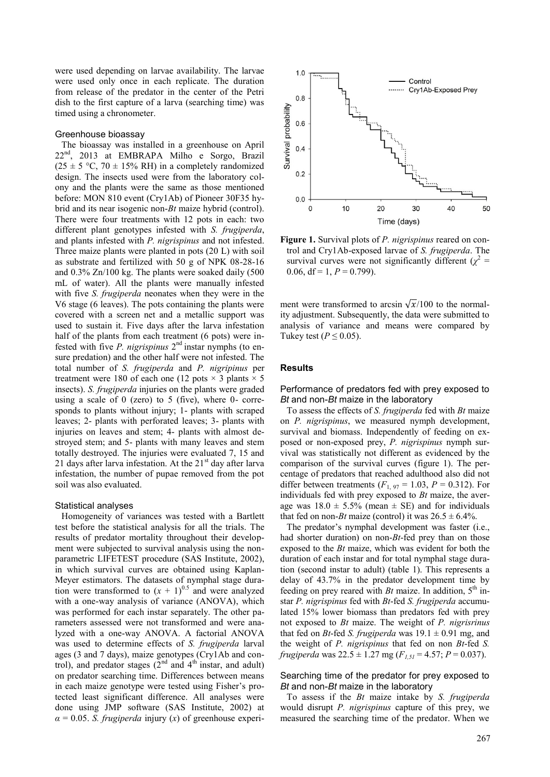were used depending on larvae availability. The larvae were used only once in each replicate. The duration from release of the predator in the center of the Petri dish to the first capture of a larva (searching time) was timed using a chronometer.

#### Greenhouse bioassay

The bioassay was installed in a greenhouse on April 22<sup>nd</sup>, 2013 at EMBRAPA Milho e Sorgo, Brazil  $(25 \pm 5 \degree C, 70 \pm 15\% \text{ RH})$  in a completely randomized design. The insects used were from the laboratory colony and the plants were the same as those mentioned before: MON 810 event (Cry1Ab) of Pioneer 30F35 hybrid and its near isogenic non-*Bt* maize hybrid (control). There were four treatments with 12 pots in each: two different plant genotypes infested with *S. frugiperda*, and plants infested with *P. nigrispinus* and not infested. Three maize plants were planted in pots (20 L) with soil as substrate and fertilized with 50 g of NPK 08-28-16 and 0.3% Zn/100 kg. The plants were soaked daily (500 mL of water). All the plants were manually infested with five *S. frugiperda* neonates when they were in the V6 stage (6 leaves). The pots containing the plants were covered with a screen net and a metallic support was used to sustain it. Five days after the larva infestation half of the plants from each treatment (6 pots) were infested with five *P. nigrispinus* 2<sup>nd</sup> instar nymphs (to ensure predation) and the other half were not infested. The total number of *S. frugiperda* and *P. nigripinus* per treatment were 180 of each one (12 pots  $\times$  3 plants  $\times$  5 insects). *S. frugiperda* injuries on the plants were graded using a scale of  $0$  (zero) to  $5$  (five), where  $0$ - corresponds to plants without injury; 1- plants with scraped leaves; 2- plants with perforated leaves; 3- plants with injuries on leaves and stem; 4- plants with almost destroyed stem; and 5- plants with many leaves and stem totally destroyed. The injuries were evaluated 7, 15 and 21 days after larva infestation. At the  $21<sup>st</sup>$  day after larva infestation, the number of pupae removed from the pot soil was also evaluated.

#### Statistical analyses

Homogeneity of variances was tested with a Bartlett test before the statistical analysis for all the trials. The results of predator mortality throughout their development were subjected to survival analysis using the nonparametric LIFETEST procedure (SAS Institute, 2002), in which survival curves are obtained using Kaplan-Meyer estimators. The datasets of nymphal stage duration were transformed to  $(x + 1)^{0.5}$  and were analyzed with a one-way analysis of variance (ANOVA), which was performed for each instar separately. The other parameters assessed were not transformed and were analyzed with a one-way ANOVA. A factorial ANOVA was used to determine effects of *S. frugiperda* larval ages (3 and 7 days), maize genotypes (Cry1Ab and control), and predator stages  $(2^{nd}$  and  $4^{th}$  instar, and adult) on predator searching time. Differences between means in each maize genotype were tested using Fisher's protected least significant difference. All analyses were done using JMP software (SAS Institute, 2002) at  $\alpha = 0.05$ . *S. frugiperda* injury (*x*) of greenhouse experi-



**Figure 1.** Survival plots of *P. nigrispinus* reared on control and Cry1Ab-exposed larvae of *S. frugiperda*. The survival curves were not significantly different ( $\chi^2$  = 0.06,  $df = 1$ ,  $P = 0.799$ ).

ment were transformed to arcsin  $\sqrt{x}/100$  to the normality adjustment. Subsequently, the data were submitted to analysis of variance and means were compared by Tukey test ( $P \le 0.05$ ).

# **Results**

# Performance of predators fed with prey exposed to *Bt* and non-*Bt* maize in the laboratory

To assess the effects of *S. frugiperda* fed with *Bt* maize on *P. nigrispinus*, we measured nymph development, survival and biomass. Independently of feeding on exposed or non-exposed prey, *P. nigrispinus* nymph survival was statistically not different as evidenced by the comparison of the survival curves (figure 1). The percentage of predators that reached adulthood also did not differ between treatments  $(F_{1, 97} = 1.03, P = 0.312)$ . For individuals fed with prey exposed to *Bt* maize, the average was  $18.0 \pm 5.5\%$  (mean  $\pm$  SE) and for individuals that fed on non-*Bt* maize (control) it was  $26.5 \pm 6.4\%$ .

The predator's nymphal development was faster (i.e., had shorter duration) on non-*Bt*-fed prey than on those exposed to the *Bt* maize, which was evident for both the duration of each instar and for total nymphal stage duration (second instar to adult) (table 1). This represents a delay of 43.7% in the predator development time by feeding on prey reared with  $Bt$  maize. In addition,  $5<sup>th</sup>$  instar *P. nigrispinus* fed with *Bt*-fed *S. frugiperda* accumulated 15% lower biomass than predators fed with prey not exposed to *Bt* maize. The weight of *P. nigrisrinus*  that fed on *Bt*-fed *S. frugiperda* was  $19.1 \pm 0.91$  mg, and the weight of *P. nigrispinus* that fed on non *Bt*-fed *S. frugiperda* was  $22.5 \pm 1.27$  mg ( $F_{1,51} = 4.57$ ;  $P = 0.037$ ).

## Searching time of the predator for prey exposed to *Bt* and non-*Bt* maize in the laboratory

To assess if the *Bt* maize intake by *S. frugiperda* would disrupt *P. nigrispinus* capture of this prey, we measured the searching time of the predator. When we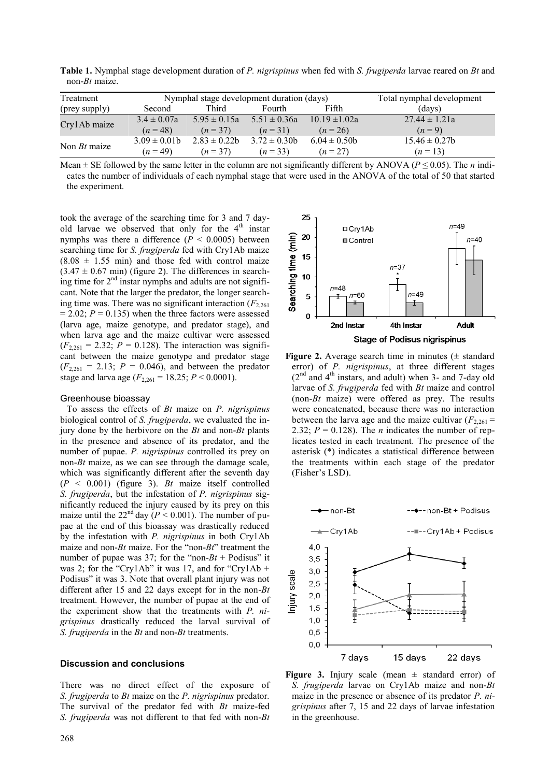**Table 1.** Nymphal stage development duration of *P. nigrispinus* when fed with *S. frugiperda* larvae reared on *Bt* and non-*Bt* maize.

| Treatment      | Nymphal stage development duration (days) |                   |                  |                   | Total nymphal development |
|----------------|-------------------------------------------|-------------------|------------------|-------------------|---------------------------|
| (prey supply)  | Second                                    | Third             | Fourth           | Fifth             | (davs)                    |
| Cry1Ab maize   | $3.4 \pm 0.07a$                           | $5.95 \pm 0.15a$  | $5.51 \pm 0.36a$ | $10.19 \pm 1.02a$ | $27.44 \pm 1.21a$         |
|                | $(n=48)$                                  | $(n=37)$          | $(n=31)$         | $(n=26)$          | $(n=9)$                   |
| Non $Bt$ maize | $3.09 \pm 0.01$ b                         | $2.83 \pm 0.22$ b | $3.72 \pm 0.30$  | $6.04 \pm 0.50$   | $15.46 \pm 0.27b$         |
|                | $(n=49)$                                  | $(n=37)$          | $(n=33)$         | $(n = 27)$        | $(n=13)$                  |

Mean  $\pm$  SE followed by the same letter in the column are not significantly different by ANOVA ( $P \le 0.05$ ). The *n* indicates the number of individuals of each nymphal stage that were used in the ANOVA of the total of 50 that started the experiment.

took the average of the searching time for 3 and 7 dayold larvae we observed that only for the  $4<sup>th</sup>$  instar nymphs was there a difference ( $P < 0.0005$ ) between searching time for *S. frugiperda* fed with Cry1Ab maize  $(8.08 \pm 1.55 \text{ min})$  and those fed with control maize  $(3.47 \pm 0.67 \text{ min})$  (figure 2). The differences in searching time for  $2<sup>nd</sup>$  instar nymphs and adults are not significant. Note that the larger the predator, the longer searching time was. There was no significant interaction  $(F_{2,261})$  $= 2.02$ ;  $P = 0.135$ ) when the three factors were assessed (larva age, maize genotype, and predator stage), and when larva age and the maize cultivar were assessed  $(F_{2,261} = 2.32; P = 0.128)$ . The interaction was significant between the maize genotype and predator stage  $(F_{2,261} = 2.13; P = 0.046)$ , and between the predator stage and larva age  $(F_{2,261} = 18.25; P \le 0.0001)$ .

# Greenhouse bioassay

To assess the effects of *Bt* maize on *P. nigrispinus* biological control of *S. frugiperda*, we evaluated the injury done by the herbivore on the *Bt* and non-*Bt* plants in the presence and absence of its predator, and the number of pupae. *P. nigrispinus* controlled its prey on non-*Bt* maize, as we can see through the damage scale, which was significantly different after the seventh day (*P* < 0.001) (figure 3). *Bt* maize itself controlled *S. frugiperda*, but the infestation of *P. nigrispinus* significantly reduced the injury caused by its prey on this maize until the  $22<sup>nd</sup>$  day ( $P < 0.001$ ). The number of pupae at the end of this bioassay was drastically reduced by the infestation with *P. nigrispinus* in both Cry1Ab maize and non-*Bt* maize. For the "non-*Bt*" treatment the number of pupae was 37; for the "non- $Bt$  + Podisus" it was 2; for the "Cry1Ab" it was 17, and for "Cry1Ab + Podisus" it was 3. Note that overall plant injury was not different after 15 and 22 days except for in the non-*Bt* treatment. However, the number of pupae at the end of the experiment show that the treatments with *P. nigrispinus* drastically reduced the larval survival of *S. frugiperda* in the *Bt* and non-*Bt* treatments.

# **Discussion and conclusions**

There was no direct effect of the exposure of *S. frugiperda* to *Bt* maize on the *P. nigrispinus* predator*.*  The survival of the predator fed with *Bt* maize-fed *S. frugiperda* was not different to that fed with non-*Bt*



**Figure 2.** Average search time in minutes  $(\pm$  standard error) of *P. nigrispinus*, at three different stages  $(2<sup>nd</sup>$  and  $4<sup>th</sup>$  instars, and adult) when 3- and 7-day old larvae of *S. frugiperda* fed with *Bt* maize and control (non-*Bt* maize) were offered as prey. The results were concatenated, because there was no interaction between the larva age and the maize cultivar  $(F_{2,261} =$ 2.32;  $P = 0.128$ ). The *n* indicates the number of replicates tested in each treatment. The presence of the asterisk (\*) indicates a statistical difference between the treatments within each stage of the predator (Fisher's LSD).



**Figure 3.** Injury scale (mean  $\pm$  standard error) of *S. frugiperda* larvae on Cry1Ab maize and non-*Bt* maize in the presence or absence of its predator *P. nigrispinus* after 7, 15 and 22 days of larvae infestation in the greenhouse.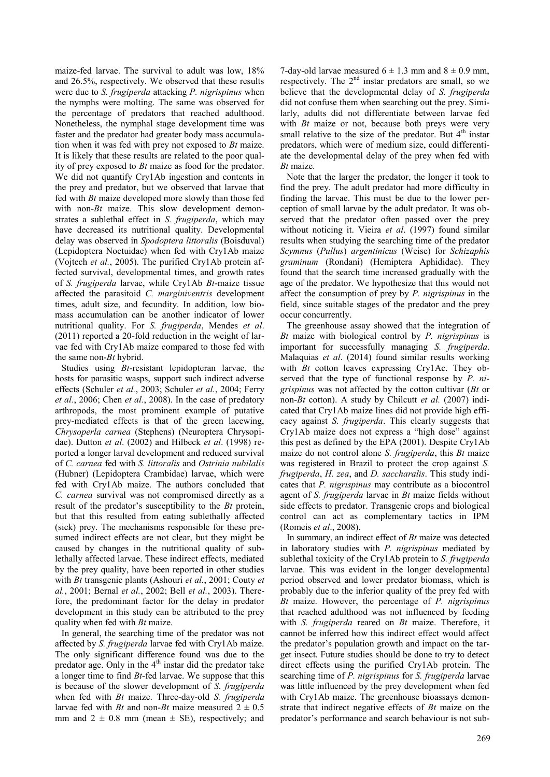maize-fed larvae. The survival to adult was low, 18% and 26.5%, respectively. We observed that these results were due to *S. frugiperda* attacking *P. nigrispinus* when the nymphs were molting. The same was observed for the percentage of predators that reached adulthood. Nonetheless, the nymphal stage development time was faster and the predator had greater body mass accumulation when it was fed with prey not exposed to *Bt* maize. It is likely that these results are related to the poor quality of prey exposed to *Bt* maize as food for the predator. We did not quantify Cry1Ab ingestion and contents in the prey and predator, but we observed that larvae that fed with *Bt* maize developed more slowly than those fed with non-*Bt* maize. This slow development demonstrates a sublethal effect in *S. frugiperda*, which may have decreased its nutritional quality. Developmental delay was observed in *Spodoptera littoralis* (Boisduval) (Lepidoptera Noctuidae) when fed with Cry1Ab maize (Vojtech *et al.*, 2005). The purified Cry1Ab protein affected survival, developmental times, and growth rates of *S. frugiperda* larvae, while Cry1Ab *Bt*-maize tissue affected the parasitoid *C. marginiventris* development times, adult size, and fecundity. In addition, low biomass accumulation can be another indicator of lower nutritional quality. For *S. frugiperda*, Mendes *et al*. (2011) reported a 20-fold reduction in the weight of larvae fed with Cry1Ab maize compared to those fed with the same non-*Bt* hybrid.

Studies using *Bt*-resistant lepidopteran larvae, the hosts for parasitic wasps, support such indirect adverse effects (Schuler *et al.*, 2003; Schuler *et al.*, 2004; Ferry *et al.*, 2006; Chen *et al.*, 2008). In the case of predatory arthropods, the most prominent example of putative prey-mediated effects is that of the green lacewing, *Chrysoperla carnea* (Stephens) (Neuroptera Chrysopidae). Dutton *et al*. (2002) and Hilbeck *et al*. (1998) reported a longer larval development and reduced survival of *C. carnea* fed with *S. littoralis* and *Ostrinia nubilalis* (Hubner) (Lepidoptera Crambidae) larvae, which were fed with Cry1Ab maize. The authors concluded that *C. carnea* survival was not compromised directly as a result of the predator's susceptibility to the *Bt* protein, but that this resulted from eating sublethally affected (sick) prey. The mechanisms responsible for these presumed indirect effects are not clear, but they might be caused by changes in the nutritional quality of sublethally affected larvae. These indirect effects, mediated by the prey quality, have been reported in other studies with *Bt* transgenic plants (Ashouri *et al.*, 2001; Couty *et al.*, 2001; Bernal *et al.*, 2002; Bell *et al.*, 2003). Therefore, the predominant factor for the delay in predator development in this study can be attributed to the prey quality when fed with *Bt* maize.

In general, the searching time of the predator was not affected by *S. frugiperda* larvae fed with Cry1Ab maize. The only significant difference found was due to the predator age. Only in the  $4<sup>th</sup>$  instar did the predator take a longer time to find *Bt*-fed larvae. We suppose that this is because of the slower development of *S. frugiperda* when fed with *Bt* maize. Three-day-old *S. frugiperda* larvae fed with *Bt* and non-*Bt* maize measured  $2 \pm 0.5$ mm and  $2 \pm 0.8$  mm (mean  $\pm$  SE), respectively; and

7-day-old larvae measured  $6 \pm 1.3$  mm and  $8 \pm 0.9$  mm, respectively. The  $2<sup>nd</sup>$  instar predators are small, so we believe that the developmental delay of *S. frugiperda*  did not confuse them when searching out the prey. Similarly, adults did not differentiate between larvae fed with *Bt* maize or not, because both preys were very small relative to the size of the predator. But  $4<sup>th</sup>$  instar predators, which were of medium size, could differentiate the developmental delay of the prey when fed with *Bt* maize.

Note that the larger the predator, the longer it took to find the prey. The adult predator had more difficulty in finding the larvae. This must be due to the lower perception of small larvae by the adult predator. It was observed that the predator often passed over the prey without noticing it. Vieira *et al*. (1997) found similar results when studying the searching time of the predator *Scymnus* (*Pullus*) *argentinicus* (Weise) for *Schizaphis graminum* (Rondani) (Hemiptera Aphididae). They found that the search time increased gradually with the age of the predator. We hypothesize that this would not affect the consumption of prey by *P. nigrispinus* in the field, since suitable stages of the predator and the prey occur concurrently.

The greenhouse assay showed that the integration of *Bt* maize with biological control by *P. nigrispinus* is important for successfully managing *S. frugiperda*. Malaquias *et al*. (2014) found similar results working with *Bt* cotton leaves expressing Cry1Ac. They observed that the type of functional response by *P. nigrispinus* was not affected by the cotton cultivar (*Bt* or non-*Bt* cotton). A study by Chilcutt *et al.* (2007) indicated that Cry1Ab maize lines did not provide high efficacy against *S. frugiperda*. This clearly suggests that Cry1Ab maize does not express a "high dose" against this pest as defined by the EPA (2001). Despite Cry1Ab maize do not control alone *S. frugiperda*, this *Bt* maize was registered in Brazil to protect the crop against *S. frugiperda*, *H. zea*, and *D. saccharalis*. This study indicates that *P. nigrispinus* may contribute as a biocontrol agent of *S. frugiperda* larvae in *Bt* maize fields without side effects to predator. Transgenic crops and biological control can act as complementary tactics in IPM (Romeis *et al*., 2008).

In summary, an indirect effect of *Bt* maize was detected in laboratory studies with *P. nigrispinus* mediated by sublethal toxicity of the Cry1Ab protein to *S. frugiperda*  larvae. This was evident in the longer developmental period observed and lower predator biomass, which is probably due to the inferior quality of the prey fed with *Bt* maize. However, the percentage of *P. nigrispinus*  that reached adulthood was not influenced by feeding with *S. frugiperda* reared on *Bt* maize. Therefore, it cannot be inferred how this indirect effect would affect the predator's population growth and impact on the target insect. Future studies should be done to try to detect direct effects using the purified Cry1Ab protein. The searching time of *P. nigrispinus* for *S. frugiperda* larvae was little influenced by the prey development when fed with Cry1Ab maize. The greenhouse bioassays demonstrate that indirect negative effects of *Bt* maize on the predator's performance and search behaviour is not sub-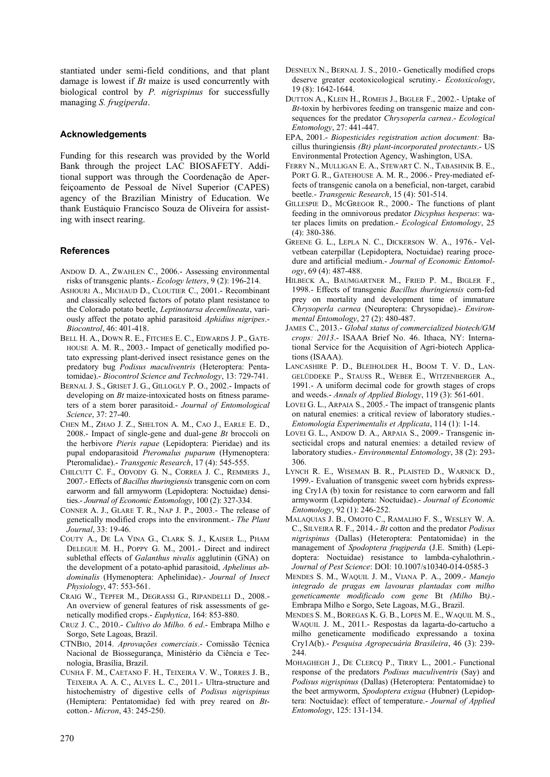stantiated under semi-field conditions, and that plant damage is lowest if *Bt* maize is used concurrently with biological control by *P. nigrispinus* for successfully managing *S. frugiperda*.

# **Acknowledgements**

Funding for this research was provided by the World Bank through the project LAC BIOSAFETY. Additional support was through the Coordenação de Aperfeiçoamento de Pessoal de Nível Superior (CAPES) agency of the Brazilian Ministry of Education. We thank Eustáquio Francisco Souza de Oliveira for assisting with insect rearing.

# **References**

- ANDOW D. A., ZWAHLEN C., 2006.- Assessing environmental risks of transgenic plants.- *Ecology letters*, 9 (2): 196-214.
- ASHOURI A., MICHAUD D., CLOUTIER C., 2001.- Recombinant and classically selected factors of potato plant resistance to the Colorado potato beetle, *Leptinotarsa decemlineata*, variously affect the potato aphid parasitoid *Aphidius nigripes*.- *Biocontrol*, 46: 401-418.
- BELL H. A., DOWN R. E., FITCHES E. C., EDWARDS J. P., GATE-HOUSE A. M. R., 2003.- Impact of genetically modified potato expressing plant-derived insect resistance genes on the predatory bug *Podisus maculiventris* (Heteroptera: Pentatomidae).- *Biocontrol Science and Technology*, 13: 729-741.
- BERNAL J. S., GRISET J. G., GILLOGLY P. O., 2002.- Impacts of developing on *Bt* maize-intoxicated hosts on fitness parameters of a stem borer parasitoid.- *Journal of Entomological Science*, 37: 27-40.
- CHEN M., ZHAO J. Z., SHELTON A. M., CAO J., EARLE E. D., 2008.- Impact of single-gene and dual-gene *Bt* broccoli on the herbivore *Pieris rapae* (Lepidoptera: Pieridae) and its pupal endoparasitoid *Pteromalus puparum* (Hymenoptera: Pteromalidae).- *Transgenic Research*, 17 (4): 545-555.
- CHILCUTT C. F., ODVODY G. N., CORREA J. C., REMMERS J., 2007.- Effects of *Bacillus thuringiensis* transgenic corn on corn earworm and fall armyworm (Lepidoptera: Noctuidae) densities.- *Journal of Economic Entomology*, 100 (2): 327-334.
- CONNER A. J., GLARE T. R., NAP J. P., 2003.- The release of genetically modified crops into the environment.- *The Plant Journal*, 33: 19-46.
- COUTY A., DE LA VINA G., CLARK S. J., KAISER L., PHAM DELEGUE M. H., POPPY G. M., 2001.- Direct and indirect sublethal effects of *Galanthus nivalis* agglutinin (GNA) on the development of a potato-aphid parasitoid, *Aphelinus abdominalis* (Hymenoptera: Aphelinidae).- *Journal of Insect Physiology*, 47: 553-561.
- CRAIG W., TEPFER M., DEGRASSI G., RIPANDELLI D., 2008.- An overview of general features of risk assessments of genetically modified crops.- *Euphytica*, 164: 853-880.
- CRUZ J. C., 2010.- *Cultivo do Milho. 6 ed*.- Embrapa Milho e Sorgo, Sete Lagoas, Brazil.
- CTNBIO, 2014. *Aprovações comerciais*.- Comissão Técnica Nacional de Biossegurança, Ministério da Ciência e Tecnologia, Brasília, Brazil.
- CUNHA F. M., CAETANO F. H., TEIXEIRA V. W., TORRES J. B., TEIXEIRA A. A. C., ALVES L. C., 2011.- Ultra-structure and histochemistry of digestive cells of *Podisus nigrispinus* (Hemiptera: Pentatomidae) fed with prey reared on *Bt*cotton.- *Micron*, 43: 245-250.
- DESNEUX N., BERNAL J. S., 2010.- Genetically modified crops deserve greater ecotoxicological scrutiny.- *Ecotoxicology*, 19 (8): 1642-1644.
- DUTTON A., KLEIN H., ROMEIS J., BIGLER F., 2002.- Uptake of *Bt*-toxin by herbivores feeding on transgenic maize and consequences for the predator *Chrysoperla carnea*.- *Ecological Entomology*, 27: 441-447.
- EPA, 2001.- *Biopesticides registration action document:* Bacillus thuringiensis *(Bt) plant-incorporated protectants*.- US Environmental Protection Agency, Washington, USA.
- FERRY N., MULLIGAN E. A., STEWART C. N., TABASHNIK B. E., PORT G. R., GATEHOUSE A. M. R., 2006.- Prey-mediated effects of transgenic canola on a beneficial, non-target, carabid beetle.- *Transgenic Research*, 15 (4): 501-514.
- GILLESPIE D., MCGREGOR R., 2000.- The functions of plant feeding in the omnivorous predator *Dicyphus hesperus*: water places limits on predation.- *Ecological Entomology*, 25 (4): 380-386.
- GREENE G. L., LEPLA N. C., DICKERSON W. A., 1976.- Velvetbean caterpillar (Lepidoptera, Noctuidae) rearing procedure and artificial medium.- *Journal of Economic Entomology*, 69 (4): 487-488.
- HILBECK A., BAUMGARTNER M., FRIED P. M., BIGLER F., 1998.- Effects of transgenic *Bacillus thuringiensis* corn-fed prey on mortality and development time of immature *Chrysoperla carnea* (Neuroptera: Chrysopidae).- *Environmental Entomology*, 27 (2): 480-487.
- JAMES C., 2013.- *Global status of commercialized biotech/GM crops: 2013*.- ISAAA Brief No. 46. Ithaca, NY: International Service for the Acquisition of Agri-biotech Applications (ISAAA).
- LANCASHIRE P. D., BLEIHOLDER H., BOOM T. V. D., LAN-GELÜDDEKE P., STAUSS R., WEBER E., WITZENBERGER A., 1991.- A uniform decimal code for growth stages of crops and weeds.- *Annals of Applied Biology*, 119 (3): 561-601.
- LOVEI G. L., ARPAIA S., 2005.- The impact of transgenic plants on natural enemies: a critical review of laboratory studies.- *Entomologia Experimentalis et Applicata*, 114 (1): 1-14.
- LOVEI G. L., ANDOW D. A., ARPAIA S., 2009.- Transgenic insecticidal crops and natural enemies: a detailed review of laboratory studies.- *Environmental Entomology*, 38 (2): 293- 306.
- LYNCH R. E., WISEMAN B. R., PLAISTED D., WARNICK D., 1999.- Evaluation of transgenic sweet corn hybrids expressing Cry1A (b) toxin for resistance to corn earworm and fall armyworm (Lepidoptera: Noctuidae).- *Journal of Economic Entomology*, 92 (1): 246-252.
- MALAQUIAS J. B., OMOTO C., RAMALHO F. S., WESLEY W. A. C., SILVEIRA R. F., 2014.- *Bt* cotton and the predator *Podisus nigrispinus* (Dallas) (Heteroptera: Pentatomidae) in the management of *Spodoptera frugiperda* (J.E. Smith) (Lepidoptera: Noctuidae) resistance to lambda-cyhalothrin.- *Journal of Pest Science*: DOI: 10.1007/s10340-014-0585-3
- MENDES S. M., WAQUIL J. M., VIANA P. A., 2009.- *Manejo integrado de pragas em lavouras plantadas com milho geneticamente modificado com gene* Bt *(Milho* Bt*)*.- Embrapa Milho e Sorgo, Sete Lagoas, M.G., Brazil.
- MENDES S. M., BOREGAS K. G. B., LOPES M. E., WAQUIL M. S., WAQUIL J. M., 2011.- Respostas da lagarta-do-cartucho a milho geneticamente modificado expressando a toxina Cry1A(b).- *Pesquisa Agropecuária Brasileira*, 46 (3): 239- 244.
- MOHAGHEGH J., DE CLERCQ P., TIRRY L., 2001.- Functional response of the predators *Podisus maculiventris* (Say) and *Podisus nigrispinus* (Dallas) (Heteroptera: Pentatomidae) to the beet armyworm, *Spodoptera exigua* (Hubner) (Lepidoptera: Noctuidae): effect of temperature.- *Journal of Applied Entomology*, 125: 131-134.